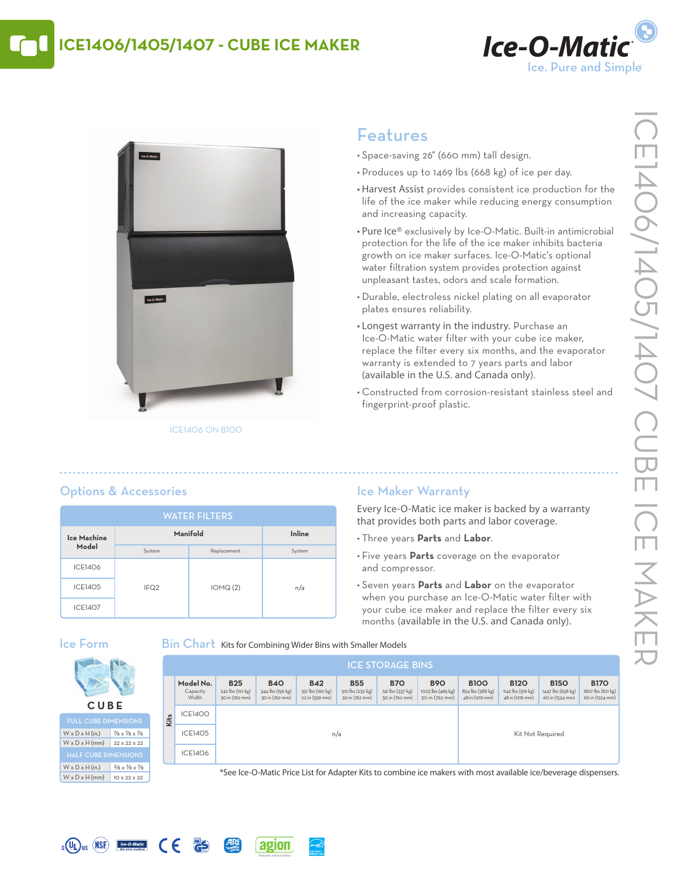# **ICE1406/1405/1407 - CUbE ICE MAkER**





## Features

- Space-saving 26" (660 mm) tall design.
- Produces up to 1469 lbs (668 kg) of ice per day.
- Harvest Assist provides consistent ice production for the life of the ice maker while reducing energy consumption and increasing capacity.
- Pure Ice® exclusively by Ice-O-Matic. Built-in antimicrobial protection for the life of the ice maker inhibits bacteria growth on ice maker surfaces. Ice-O-Matic's optional water filtration system provides protection against unpleasant tastes, odors and scale formation.
- Durable, electroless nickel plating on all evaporator plates ensures reliability.
- Longest warranty in the industry. Purchase an Ice-O-Matic water filter with your cube ice maker, replace the filter every six months, and the evaporator warranty is extended to 7 years parts and labor (available in the U.S. and Canada only).
- • Constructed from corrosion-resistant stainless steel and fingerprint-proof plastic.

### Options & Accessories

| <b>WATER FILTERS</b> |                  |             |        |  |  |  |
|----------------------|------------------|-------------|--------|--|--|--|
| Ice Machine          | Manifold         | Inline      |        |  |  |  |
| Model                | System           | Replacement | System |  |  |  |
| <b>ICE1406</b>       |                  |             |        |  |  |  |
| <b>ICE1405</b>       | IFQ <sub>2</sub> | IOMQ(2)     | n/a    |  |  |  |
| <b>ICE1407</b>       |                  |             |        |  |  |  |

### Ice Maker Warranty

Every Ice-O-Matic ice maker is backed by a warranty that provides both parts and labor coverage.

- • Three years **Parts** and **labor**.
- Five years **Parts** coverage on the evaporator and compressor.
- • Seven years **Parts** and **labor** on the evaporator when you purchase an Ice-O-Matic water filter with your cube ice maker and replace the filter every six months (available in the U.S. and Canada only).

### Ice Form

**C U b E** FULL CUBE DIMENSION:  $W \times D \times H$  (in.) 7/8 x 7/8 x 7/8  $W \times D \times H$  (mm)  $22 \times 22 \times 22$ 

 $W \times D \times H$  (in.)  $3/8 \times 7/8 \times 7/8$  $W \times D \times H$  (mm)  $10 \times 22 \times 22$ 

 $_{c}$  (U<sub>L</sub>)<sub>us</sub> (NSF) **Ice O-Matic** 

 $\epsilon$ 

**PS** 

#### **Bin Chart** Kits for Combining Wider Bins with Smaller Models

agion

| <b>ICE STORAGE BINS</b> |                                |                                                  |                                                  |                                                  |                                                  |                                                  |                                                   |                                                    |                                                     |                                                     |                                                     |  |
|-------------------------|--------------------------------|--------------------------------------------------|--------------------------------------------------|--------------------------------------------------|--------------------------------------------------|--------------------------------------------------|---------------------------------------------------|----------------------------------------------------|-----------------------------------------------------|-----------------------------------------------------|-----------------------------------------------------|--|
|                         | Model No.<br>Capacity<br>Width | <b>B25</b><br>242 lbs (110 kg)<br>30 in (762 mm) | <b>B40</b><br>344 lbs (156 kg)<br>30 in (762 mm) | <b>B42</b><br>351 lbs (160 kg)<br>22 in (559 mm) | <b>B55</b><br>510 lbs (232 kg)<br>30 in (762 mm) | <b>B70</b><br>741 lbs (337 kg)<br>30 in (762 mm) | <b>B90</b><br>1023 lbs (465 kg)<br>30 in (762 mm) | <b>B100</b><br>854 lbs (388 kg)<br>48 in (1219 mm) | <b>B120</b><br>1142 lbs (519 kg)<br>48 in (1219 mm) | <b>B150</b><br>1447 lbs (658 kg)<br>60 in (1524 mm) | <b>B170</b><br>1807 lbs (821 kg)<br>60 in (1524 mm) |  |
| Kits                    | ICE1400                        |                                                  |                                                  |                                                  |                                                  |                                                  |                                                   |                                                    |                                                     |                                                     |                                                     |  |
|                         | <b>ICE1405</b>                 |                                                  | n/a                                              |                                                  |                                                  |                                                  |                                                   |                                                    | Kit Not Required                                    |                                                     |                                                     |  |
|                         | <b>ICE1406</b>                 |                                                  |                                                  |                                                  |                                                  |                                                  |                                                   |                                                    |                                                     |                                                     |                                                     |  |

\*See Ice-O-Matic Price List for Adapter Kits to combine ice makers with most available ice/beverage dispensers.